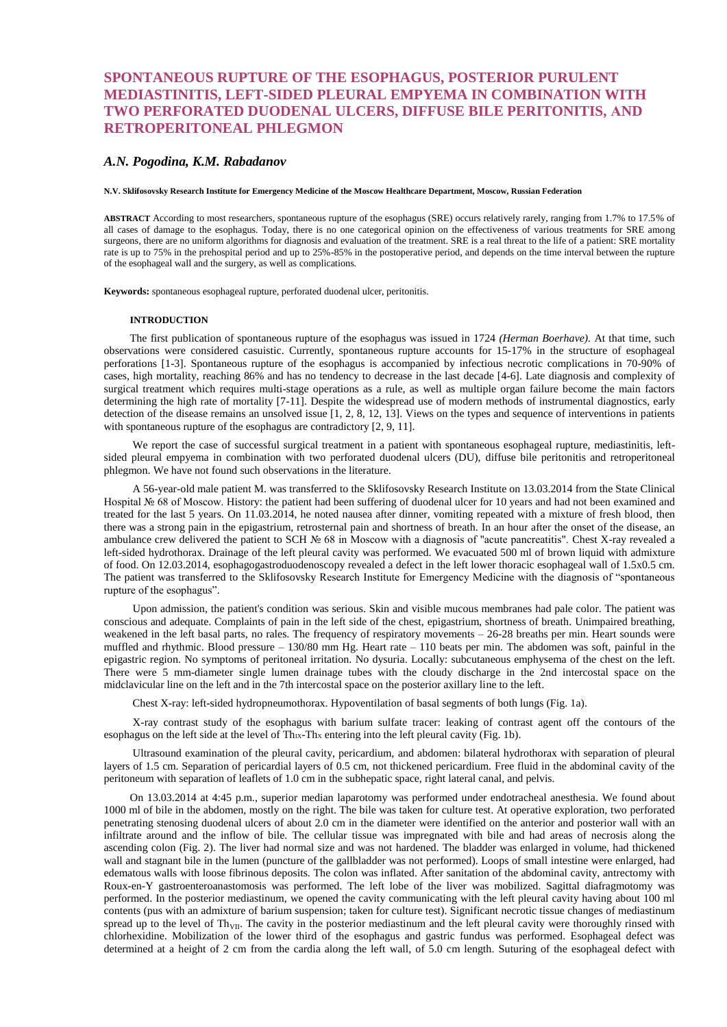# **SPONTANEOUS RUPTURE OF THE ESOPHAGUS, POSTERIOR PURULENT MEDIASTINITIS, LEFT-SIDED PLEURAL EMPYEMA IN COMBINATION WITH TWO PERFORATED DUODENAL ULCERS, DIFFUSE BILE PERITONITIS, АND RETROPERITONEAL PHLEGMON**

# *A.N. Pogodina, K.M. Rabadanov*

#### **N.V. Sklifosovsky Research Institute for Emergency Medicine of the Moscow Healthcare Department, Moscow, Russian Federation**

**ABSTRACT** According to most researchers, spontaneous rupture of the esophagus (SRE) occurs relatively rarely, ranging from 1.7% to 17.5% of all cases of damage to the esophagus. Today, there is no one categorical opinion on the effectiveness of various treatments for SRE among surgeons, there are no uniform algorithms for diagnosis and evaluation of the treatment. SRE is a real threat to the life of a patient: SRE mortality rate is up to 75% in the prehospital period and up to 25%-85% in the postoperative period, and depends on the time interval between the rupture of the esophageal wall and the surgery, as well as complications.

**Keywords:** spontaneous esophageal rupture, perforated duodenal ulcer, peritonitis.

## **INTRODUCTION**

The first publication of spontaneous rupture of the esophagus was issued in 1724 *(Herman Boerhave).* At that time, such observations were considered casuistic. Currently, spontaneous rupture accounts for 15-17% in the structure of esophageal perforations [1-3]. Spontaneous rupture of the esophagus is accompanied by infectious necrotic complications in 70-90% of cases, high mortality, reaching 86% and has no tendency to decrease in the last decade [4-6]. Late diagnosis and complexity of surgical treatment which requires multi-stage operations as a rule, as well as multiple organ failure become the main factors determining the high rate of mortality [7-11]. Despite the widespread use of modern methods of instrumental diagnostics, early detection of the disease remains an unsolved issue [1, 2, 8, 12, 13]. Views on the types and sequence of interventions in patients with spontaneous rupture of the esophagus are contradictory [2, 9, 11].

We report the case of successful surgical treatment in a patient with spontaneous esophageal rupture, mediastinitis, leftsided pleural empyema in combination with two perforated duodenal ulcers (DU), diffuse bile peritonitis and retroperitoneal phlegmon. We have not found such observations in the literature.

A 56-year-old male patient M. was transferred to the Sklifosovsky Research Institute on 13.03.2014 from the State Clinical Hospital № 68 of Moscow. History: the patient had been suffering of duodenal ulcer for 10 years and had not been examined and treated for the last 5 years. On 11.03.2014, he noted nausea after dinner, vomiting repeated with a mixture of fresh blood, then there was a strong pain in the epigastrium, retrosternal pain and shortness of breath. In an hour after the onset of the disease, an ambulance crew delivered the patient to SCH № 68 in Moscow with a diagnosis of "acute pancreatitis". Chest X-ray revealed a left-sided hydrothorax. Drainage of the left pleural cavity was performed. We evacuated 500 ml of brown liquid with admixture of food. On 12.03.2014, esophagogastroduodenoscopy revealed a defect in the left lower thoracic esophageal wall of 1.5x0.5 cm. The patient was transferred to the Sklifosovsky Research Institute for Emergency Medicine with the diagnosis of "spontaneous rupture of the esophagus".

Upon admission, the patient's condition was serious. Skin and visible mucous membranes had pale color. The patient was conscious and adequate. Complaints of pain in the left side of the chest, epigastrium, shortness of breath. Unimpaired breathing, weakened in the left basal parts, no rales. The frequency of respiratory movements – 26-28 breaths per min. Heart sounds were muffled and rhythmic. Blood pressure – 130/80 mm Hg. Heart rate – 110 beats per min. The abdomen was soft, painful in the epigastric region. No symptoms of peritoneal irritation. No dysuria. Locally: subcutaneous emphysema of the chest on the left. There were 5 mm-diameter single lumen drainage tubes with the cloudy discharge in the 2nd intercostal space on the midclavicular line on the left and in the 7th intercostal space on the posterior axillary line to the left.

Chest X-ray: left-sided hydropneumothorax. Hypoventilation of basal segments of both lungs (Fig. 1a).

X-ray contrast study of the esophagus with barium sulfate tracer: leaking of contrast agent off the contours of the esophagus on the left side at the level of  $\text{Thx-Thx}$  entering into the left pleural cavity (Fig. 1b).

Ultrasound examination of the pleural cavity, pericardium, and abdomen: bilateral hydrothorax with separation of pleural layers of 1.5 cm. Separation of pericardial layers of 0.5 cm, not thickened pericardium. Free fluid in the abdominal cavity of the peritoneum with separation of leaflets of 1.0 cm in the subhepatic space, right lateral canal, and pelvis.

On 13.03.2014 at 4:45 p.m., superior median laparotomy was performed under endotracheal anesthesia. We found about 1000 ml of bile in the abdomen, mostly on the right. The bile was taken for culture test. At operative exploration, two perforated penetrating stenosing duodenal ulcers of about 2.0 cm in the diameter were identified on the anterior and posterior wall with an infiltrate around and the inflow of bile. The cellular tissue was impregnated with bile and had areas of necrosis along the ascending colon (Fig. 2). The liver had normal size and was not hardened. The bladder was enlarged in volume, had thickened wall and stagnant bile in the lumen (puncture of the gallbladder was not performed). Loops of small intestine were enlarged, had edematous walls with loose fibrinous deposits. The colon was inflated. After sanitation of the abdominal cavity, antrectomy with Roux-en-Y gastroenteroanastomosis was performed. The left lobe of the liver was mobilized. Sagittal diafragmotomy was performed. In the posterior mediastinum, we opened the cavity communicating with the left pleural cavity having about 100 ml contents (pus with an admixture of barium suspension; taken for culture test). Significant necrotic tissue changes of mediastinum spread up to the level of Th<sub>VII</sub>. The cavity in the posterior mediastinum and the left pleural cavity were thoroughly rinsed with chlorhexidine. Mobilization of the lower third of the esophagus and gastric fundus was performed. Esophageal defect was determined at a height of 2 cm from the cardia along the left wall, of 5.0 cm length. Suturing of the esophageal defect with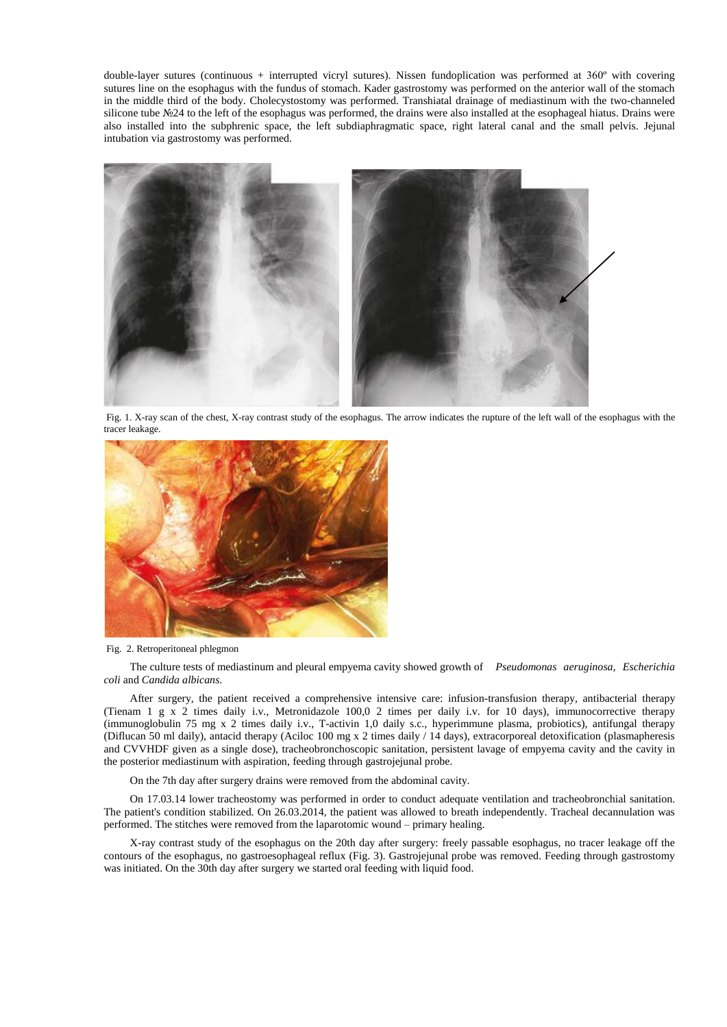double-layer sutures (continuous + interrupted vicryl sutures). Nissen fundoplication was performed at 360º with covering sutures line on the esophagus with the fundus of stomach. Kader gastrostomy was performed on the anterior wall of the stomach in the middle third of the body. Cholecystostomy was performed. Transhiatal drainage of mediastinum with the two-channeled silicone tube №24 to the left of the esophagus was performed, the drains were also installed at the esophageal hiatus. Drains were also installed into the subphrenic space, the left subdiaphragmatic space, right lateral canal and the small pelvis. Jejunal intubation via gastrostomy was performed.



Fig. 1. X-ray scan of the chest, X-ray contrast study of the esophagus. The arrow indicates the rupture of the left wall of the esophagus with the tracer leakage.



### Fig. 2. Retroperitoneal phlegmon

The culture tests of mediastinum and pleural empyema cavity showed growth of *Pseudomonas aeruginosa, Escherichia coli* and *Candida albicans.*

After surgery, the patient received a comprehensive intensive care: infusion-transfusion therapy, antibacterial therapy (Tienam 1 g x 2 times daily i.v., Metronidazole 100,0 2 times per daily i.v. for 10 days), immunocorrective therapy (immunoglobulin 75 mg x 2 times daily i.v., T-activin 1,0 daily s.c., hyperimmune plasma, probiotics), antifungal therapy (Diflucan 50 ml daily), antacid therapy (Aciloc 100 mg x 2 times daily / 14 days), extracorporeal detoxification (plasmapheresis and CVVHDF given as a single dose), tracheobronchoscopic sanitation, persistent lavage of empyema cavity and the cavity in the posterior mediastinum with aspiration, feeding through gastrojejunal probe.

On the 7th day after surgery drains were removed from the abdominal cavity.

On 17.03.14 lower tracheostomy was performed in order to conduct adequate ventilation and tracheobronchial sanitation. The patient's condition stabilized. On 26.03.2014, the patient was allowed to breath independently. Tracheal decannulation was performed. The stitches were removed from the laparotomic wound – primary healing.

X-ray contrast study of the esophagus on the 20th day after surgery: freely passable esophagus, no tracer leakage off the contours of the esophagus, no gastroesophageal reflux (Fig. 3). Gastrojejunal probe was removed. Feeding through gastrostomy was initiated. On the 30th day after surgery we started oral feeding with liquid food.